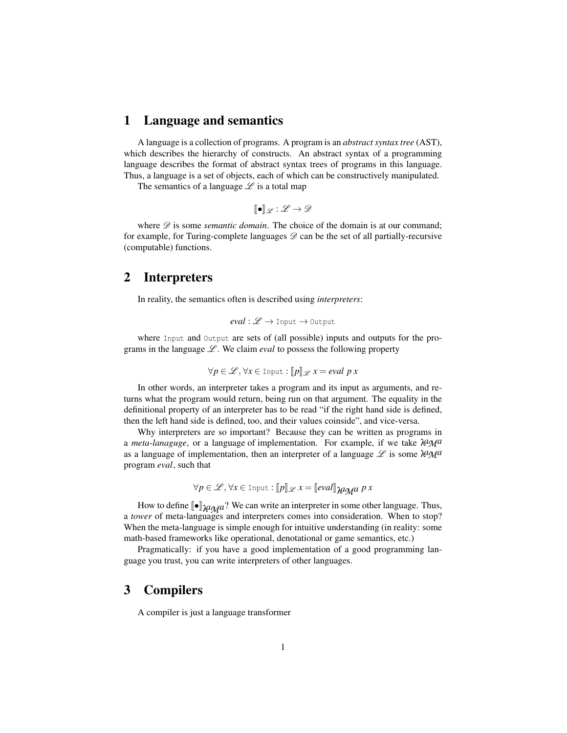## 1 Language and semantics

A language is a collection of programs. A program is an *abstract syntax tree* (AST), which describes the hierarchy of constructs. An abstract syntax of a programming language describes the format of abstract syntax trees of programs in this language. Thus, a language is a set of objects, each of which can be constructively manipulated.

The semantics of a language  $\mathscr L$  is a total map

$$
[\![\bullet]\!]_{\mathscr{L}}:\mathscr{L}\to\mathscr{D}
$$

where  $D$  is some *semantic domain*. The choice of the domain is at our command; for example, for Turing-complete languages  $\mathscr{D}$  can be the set of all partially-recursive (computable) functions.

## 2 Interpreters

In reality, the semantics often is described using *interpreters*:

$$
eval: \mathscr{L} \to \text{Input} \to \text{Output}
$$

where Input and Output are sets of (all possible) inputs and outputs for the programs in the language  $\mathscr{L}$ . We claim *eval* to possess the following property

$$
\forall p \in \mathcal{L}, \forall x \in \text{Input} : [p] \mathcal{L} \, x = \text{eval } p \, x
$$

In other words, an interpreter takes a program and its input as arguments, and returns what the program would return, being run on that argument. The equality in the definitional property of an interpreter has to be read "if the right hand side is defined, then the left hand side is defined, too, and their values coinside", and vice-versa.

Why interpreters are so important? Because they can be written as programs in <sup>a</sup> *meta-lanaguge*, or a language of implementation. For example, if we take <sup>λ</sup>*aM<sup>a</sup>* as a language of implementation, then an interpreter of a language  $\mathscr L$  is some  $\lambda^a \mathscr M^a$ program *eval*, such that

$$
\forall p \in \mathcal{L}, \forall x \in \text{Input} : \llbracket p \rrbracket \mathcal{L} \ x = \llbracket eval \rrbracket \mathcal{H} \mathcal{A} \ \mathcal{A} \ \mathcal{B} \ \mathcal{A}
$$

How to define  $\llbracket \bullet \rrbracket_{\mathcal{U} \cap \mathcal{U}}$ ? We can write an interpreter in some other language. Thus, a *tower* of meta-languages and interpreters comes into consideration. When to stop? When the meta-language is simple enough for intuitive understanding (in reality: some math-based frameworks like operational, denotational or game semantics, etc.)

Pragmatically: if you have a good implementation of a good programming language you trust, you can write interpreters of other languages.

## 3 Compilers

A compiler is just a language transformer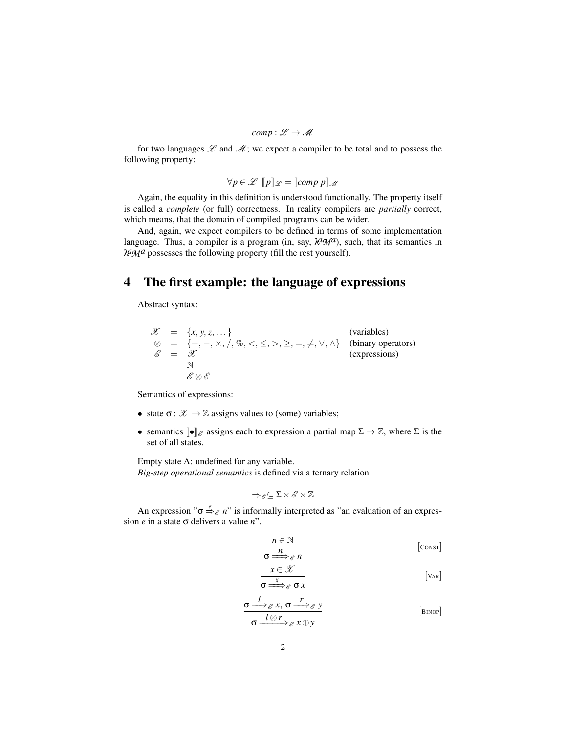$$
comp: \mathscr{L} \to \mathscr{M}
$$

for two languages  $\mathscr L$  and  $\mathscr M$ ; we expect a compiler to be total and to possess the following property:

$$
\forall p \in \mathcal{L} \quad [p]_{\mathcal{L}} = [\text{comp } p]_{\mathcal{M}}
$$

Again, the equality in this definition is understood functionally. The property itself is called a *complete* (or full) correctness. In reality compilers are *partially* correct, which means, that the domain of compiled programs can be wider.

And, again, we expect compilers to be defined in terms of some implementation language. Thus, a compiler is a program (in, say,  $\lambda q \gamma q$ ), such, that its semantics in <sup>λ</sup>*aM<sup>a</sup>* possesses the following property (fill the rest yourself).

## 4 The first example: the language of expressions

Abstract syntax:

$$
\mathcal{X} = \{x, y, z, \dots\}
$$
 (variables)  
\n
$$
\otimes = \{+, -, \times, /, \%, <, \le, >, \ge, =, \ne, \vee, \wedge\}
$$
 (binary operators)  
\n
$$
\mathcal{E} = \mathcal{X}
$$
 (expressions)  
\n
$$
\mathcal{E} \otimes \mathcal{E}
$$

Semantics of expressions:

- state  $\sigma : \mathcal{X} \to \mathbb{Z}$  assigns values to (some) variables;
- semantics  $\llbracket \bullet \rrbracket_{\mathcal{E}}$  assigns each to expression a partial map  $\Sigma \to \mathbb{Z}$ , where  $\Sigma$  is the set of all states.

Empty state  $\Lambda$ : undefined for any variable. *Big-step operational semantics* is defined via a ternary relation

$$
\Rightarrow_{\mathscr{E}}\subseteq\Sigma\times\mathscr{E}\times\mathbb{Z}
$$

An expression " $\sigma \stackrel{e}{\Rightarrow}_{\mathscr{E}} n$ " is informally interpreted as "an evaluation of an expression *e* in a state σ delivers a value *n*".

$$
\overline{\sigma \xrightarrow{n} \mathcal{E} n} \qquad \qquad [\text{Cos} \tau]
$$

$$
\begin{array}{c}\n x \in \mathcal{X} \\
\hline\n \sigma \Longrightarrow_{\mathcal{E}} \sigma x\n \end{array}
$$
\n[VaR]

$$
\frac{\sigma \stackrel{l}{\Longrightarrow}_{\mathscr{E}} x, \sigma \stackrel{r}{\Longrightarrow}_{\mathscr{E}} y}{\sigma \stackrel{l}{\Longrightarrow}_{\mathscr{E}} x \oplus y} \qquad \qquad [\text{BinoP}]
$$